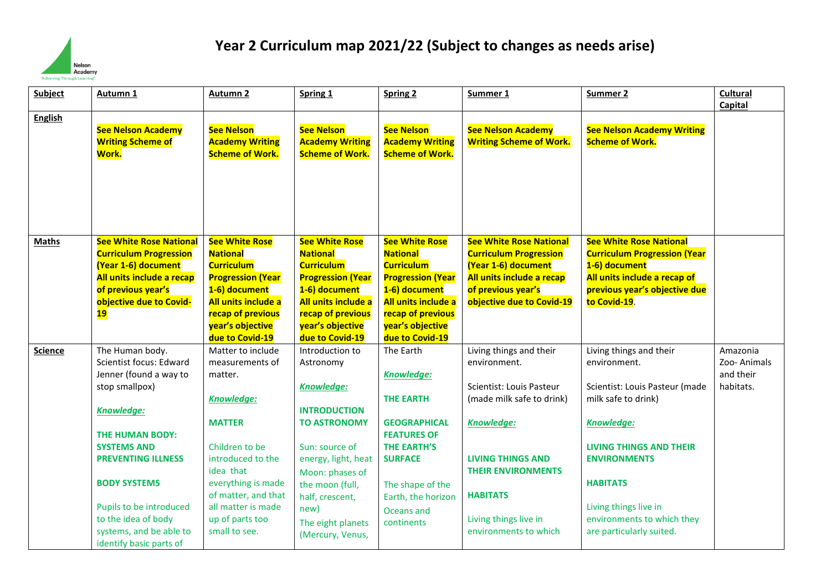

## **Year 2 Curriculum map 2021/22 (Subject to changes as needs arise)**

| <b>Subject</b> | Autumn 1                                                                                                                                                                                                                                                                                                         | Autumn 2                                                                                                                                                                                                                                         | Spring 1                                                                                                                                                                                                                                           | <b>Spring 2</b>                                                                                                                                                                                 | Summer 1                                                                                                                                                                                                                                            | Summer 2                                                                                                                                                                                                                                                                             | <b>Cultural</b><br>Capital                        |
|----------------|------------------------------------------------------------------------------------------------------------------------------------------------------------------------------------------------------------------------------------------------------------------------------------------------------------------|--------------------------------------------------------------------------------------------------------------------------------------------------------------------------------------------------------------------------------------------------|----------------------------------------------------------------------------------------------------------------------------------------------------------------------------------------------------------------------------------------------------|-------------------------------------------------------------------------------------------------------------------------------------------------------------------------------------------------|-----------------------------------------------------------------------------------------------------------------------------------------------------------------------------------------------------------------------------------------------------|--------------------------------------------------------------------------------------------------------------------------------------------------------------------------------------------------------------------------------------------------------------------------------------|---------------------------------------------------|
| <b>English</b> | <b>See Nelson Academy</b><br><b>Writing Scheme of</b><br>Work.                                                                                                                                                                                                                                                   | <b>See Nelson</b><br><b>Academy Writing</b><br><b>Scheme of Work.</b>                                                                                                                                                                            | <b>See Nelson</b><br><b>Academy Writing</b><br><b>Scheme of Work.</b>                                                                                                                                                                              | <b>See Nelson</b><br><b>Academy Writing</b><br><b>Scheme of Work.</b>                                                                                                                           | <b>See Nelson Academy</b><br><b>Writing Scheme of Work.</b>                                                                                                                                                                                         | <b>See Nelson Academy Writing</b><br><b>Scheme of Work.</b>                                                                                                                                                                                                                          |                                                   |
| <b>Maths</b>   | <b>See White Rose National</b><br><b>Curriculum Progression</b><br>(Year 1-6) document<br>All units include a recap<br>of previous year's<br>objective due to Covid-<br><b>19</b>                                                                                                                                | <b>See White Rose</b><br><b>National</b><br><b>Curriculum</b><br><b>Progression (Year</b><br>1-6) document<br>All units include a<br>recap of previous<br>year's objective<br>due to Covid-19                                                    | <b>See White Rose</b><br><b>National</b><br><b>Curriculum</b><br><b>Progression (Year</b><br>1-6) document<br>All units include a<br>recap of previous<br>year's objective<br>due to Covid-19                                                      | <b>See White Rose</b><br><b>National</b><br><b>Curriculum</b><br><b>Progression (Year</b><br>1-6) document<br>All units include a<br>recap of previous<br>year's objective<br>due to Covid-19   | <b>See White Rose National</b><br><b>Curriculum Progression</b><br>(Year 1-6) document<br>All units include a recap<br>of previous year's<br>objective due to Covid-19                                                                              | <b>See White Rose National</b><br><b>Curriculum Progression (Year</b><br>1-6) document<br>All units include a recap of<br>previous year's objective due<br>to Covid-19.                                                                                                              |                                                   |
| <b>Science</b> | The Human body.<br>Scientist focus: Edward<br>Jenner (found a way to<br>stop smallpox)<br>Knowledge:<br><b>THE HUMAN BODY:</b><br><b>SYSTEMS AND</b><br><b>PREVENTING ILLNESS</b><br><b>BODY SYSTEMS</b><br>Pupils to be introduced<br>to the idea of body<br>systems, and be able to<br>identify basic parts of | Matter to include<br>measurements of<br>matter.<br><b>Knowledge:</b><br><b>MATTER</b><br>Children to be<br>introduced to the<br>idea that<br>everything is made<br>of matter, and that<br>all matter is made<br>up of parts too<br>small to see. | Introduction to<br>Astronomy<br><b>Knowledge:</b><br><b>INTRODUCTION</b><br><b>TO ASTRONOMY</b><br>Sun: source of<br>energy, light, heat<br>Moon: phases of<br>the moon (full,<br>half, crescent,<br>new)<br>The eight planets<br>(Mercury, Venus, | The Earth<br>Knowledge:<br><b>THE EARTH</b><br><b>GEOGRAPHICAL</b><br><b>FEATURES OF</b><br>THE EARTH'S<br><b>SURFACE</b><br>The shape of the<br>Earth, the horizon<br>Oceans and<br>continents | Living things and their<br>environment.<br>Scientist: Louis Pasteur<br>(made milk safe to drink)<br><b>Knowledge:</b><br><b>LIVING THINGS AND</b><br><b>THEIR ENVIRONMENTS</b><br><b>HABITATS</b><br>Living things live in<br>environments to which | Living things and their<br>environment.<br>Scientist: Louis Pasteur (made<br>milk safe to drink)<br><b>Knowledge:</b><br><b>LIVING THINGS AND THEIR</b><br><b>ENVIRONMENTS</b><br><b>HABITATS</b><br>Living things live in<br>environments to which they<br>are particularly suited. | Amazonia<br>Zoo-Animals<br>and their<br>habitats. |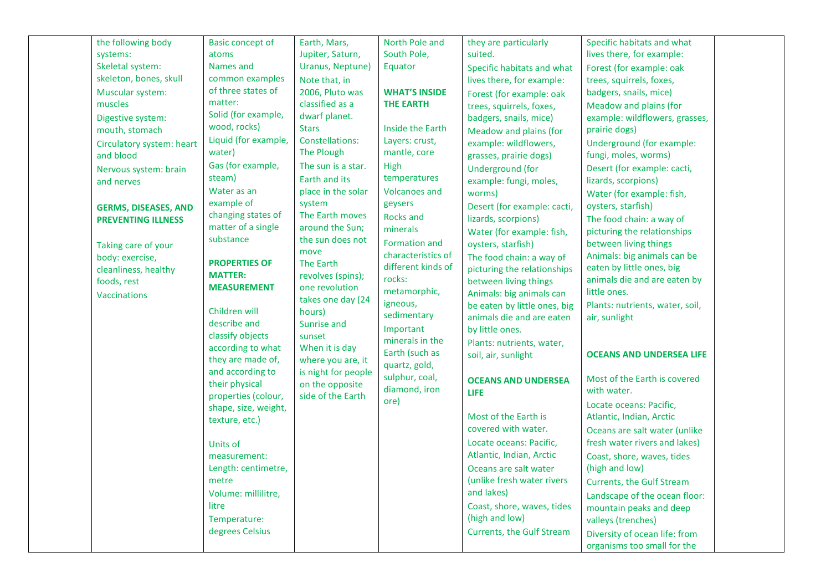| the following body          | <b>Basic concept of</b>                | Earth, Mars,                             | North Pole and       | they are particularly            | Specific habitats and what       |  |
|-----------------------------|----------------------------------------|------------------------------------------|----------------------|----------------------------------|----------------------------------|--|
| systems:                    | atoms                                  | Jupiter, Saturn,                         | South Pole,          | suited.                          | lives there, for example:        |  |
| Skeletal system:            | Names and                              | Uranus, Neptune)                         | Equator              | Specific habitats and what       | Forest (for example: oak         |  |
| skeleton, bones, skull      | common examples                        | Note that, in                            |                      | lives there, for example:        | trees, squirrels, foxes,         |  |
| Muscular system:            | of three states of                     | 2006, Pluto was                          | <b>WHAT'S INSIDE</b> | Forest (for example: oak         | badgers, snails, mice)           |  |
| muscles                     | matter:                                | classified as a                          | <b>THE EARTH</b>     | trees, squirrels, foxes,         | Meadow and plains (for           |  |
| Digestive system:           | Solid (for example,                    | dwarf planet.                            |                      | badgers, snails, mice)           | example: wildflowers, grasses,   |  |
| mouth, stomach              | wood, rocks)                           | <b>Stars</b>                             | Inside the Earth     | Meadow and plains (for           | prairie dogs)                    |  |
| Circulatory system: heart   | Liquid (for example,                   | Constellations:                          | Layers: crust,       | example: wildflowers,            | Underground (for example:        |  |
| and blood                   | water)                                 | The Plough                               | mantle, core         | grasses, prairie dogs)           | fungi, moles, worms)             |  |
| Nervous system: brain       | Gas (for example,                      | The sun is a star.                       | High                 | Underground (for                 | Desert (for example: cacti,      |  |
| and nerves                  | steam)                                 | Earth and its                            | temperatures         | example: fungi, moles,           | lizards, scorpions)              |  |
|                             | Water as an                            | place in the solar                       | <b>Volcanoes and</b> | worms)                           | Water (for example: fish,        |  |
| <b>GERMS, DISEASES, AND</b> | example of                             | system                                   | geysers              | Desert (for example: cacti,      | oysters, starfish)               |  |
| <b>PREVENTING ILLNESS</b>   | changing states of                     | The Earth moves                          | <b>Rocks and</b>     | lizards, scorpions)              | The food chain: a way of         |  |
|                             | matter of a single                     | around the Sun;                          | minerals             | Water (for example: fish,        | picturing the relationships      |  |
| Taking care of your         | substance                              | the sun does not                         | Formation and        | oysters, starfish)               | between living things            |  |
| body: exercise,             |                                        | move                                     | characteristics of   | The food chain: a way of         | Animals: big animals can be      |  |
| cleanliness, healthy        | <b>PROPERTIES OF</b>                   | The Earth                                | different kinds of   | picturing the relationships      | eaten by little ones, big        |  |
| foods, rest                 | <b>MATTER:</b>                         | revolves (spins);                        | rocks:               | between living things            | animals die and are eaten by     |  |
| <b>Vaccinations</b>         | <b>MEASUREMENT</b>                     | one revolution                           | metamorphic,         | Animals: big animals can         | little ones.                     |  |
|                             |                                        | takes one day (24                        | igneous,             | be eaten by little ones, big     | Plants: nutrients, water, soil,  |  |
|                             | Children will                          | hours)                                   | sedimentary          | animals die and are eaten        | air, sunlight                    |  |
|                             | describe and                           | Sunrise and                              | Important            | by little ones.                  |                                  |  |
|                             | classify objects                       | sunset                                   | minerals in the      | Plants: nutrients, water,        |                                  |  |
|                             | according to what<br>they are made of, | When it is day                           | Earth (such as       | soil, air, sunlight              | <b>OCEANS AND UNDERSEA LIFE</b>  |  |
|                             | and according to                       | where you are, it<br>is night for people | quartz, gold,        |                                  |                                  |  |
|                             | their physical                         | on the opposite                          | sulphur, coal,       | <b>OCEANS AND UNDERSEA</b>       | Most of the Earth is covered     |  |
|                             | properties (colour,                    | side of the Earth                        | diamond, iron        | <b>LIFE</b>                      | with water.                      |  |
|                             | shape, size, weight,                   |                                          | ore)                 |                                  | Locate oceans: Pacific,          |  |
|                             | texture, etc.)                         |                                          |                      | Most of the Earth is             | Atlantic, Indian, Arctic         |  |
|                             |                                        |                                          |                      | covered with water.              | Oceans are salt water (unlike    |  |
|                             | Units of                               |                                          |                      | Locate oceans: Pacific,          | fresh water rivers and lakes)    |  |
|                             | measurement:                           |                                          |                      | Atlantic, Indian, Arctic         | Coast, shore, waves, tides       |  |
|                             | Length: centimetre,                    |                                          |                      | Oceans are salt water            | (high and low)                   |  |
|                             | metre                                  |                                          |                      | (unlike fresh water rivers       | <b>Currents, the Gulf Stream</b> |  |
|                             | Volume: millilitre,                    |                                          |                      | and lakes)                       | Landscape of the ocean floor:    |  |
|                             | litre                                  |                                          |                      | Coast, shore, waves, tides       | mountain peaks and deep          |  |
|                             | Temperature:                           |                                          |                      | (high and low)                   | valleys (trenches)               |  |
|                             | degrees Celsius                        |                                          |                      | <b>Currents, the Gulf Stream</b> | Diversity of ocean life: from    |  |
|                             |                                        |                                          |                      |                                  | organisms too small for the      |  |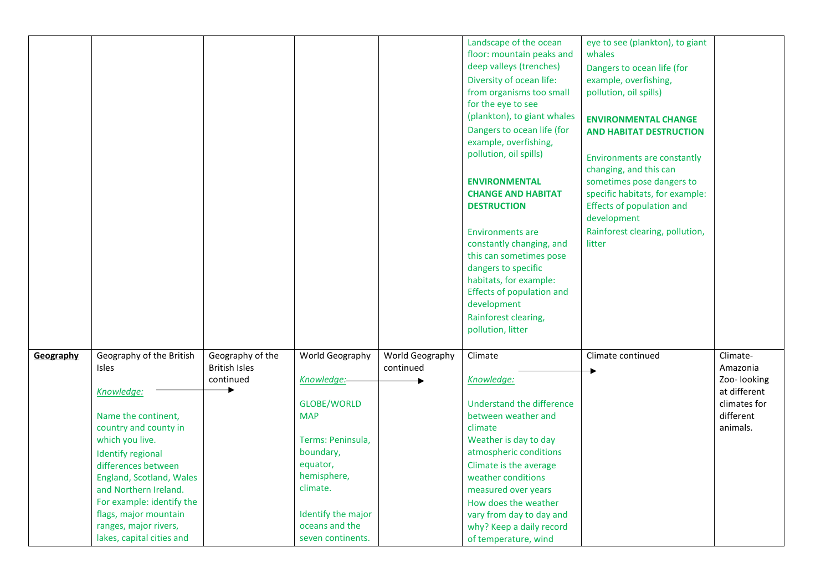|           |                           |                      |                                  |                 | Landscape of the ocean<br>floor: mountain peaks and<br>deep valleys (trenches)<br>Diversity of ocean life:<br>from organisms too small<br>for the eye to see<br>(plankton), to giant whales<br>Dangers to ocean life (for<br>example, overfishing,<br>pollution, oil spills)<br><b>ENVIRONMENTAL</b><br><b>CHANGE AND HABITAT</b><br><b>DESTRUCTION</b><br><b>Environments are</b><br>constantly changing, and<br>this can sometimes pose<br>dangers to specific<br>habitats, for example:<br><b>Effects of population and</b><br>development | eye to see (plankton), to giant<br>whales<br>Dangers to ocean life (for<br>example, overfishing,<br>pollution, oil spills)<br><b>ENVIRONMENTAL CHANGE</b><br><b>AND HABITAT DESTRUCTION</b><br><b>Environments are constantly</b><br>changing, and this can<br>sometimes pose dangers to<br>specific habitats, for example:<br><b>Effects of population and</b><br>development<br>Rainforest clearing, pollution,<br>litter |                           |
|-----------|---------------------------|----------------------|----------------------------------|-----------------|-----------------------------------------------------------------------------------------------------------------------------------------------------------------------------------------------------------------------------------------------------------------------------------------------------------------------------------------------------------------------------------------------------------------------------------------------------------------------------------------------------------------------------------------------|-----------------------------------------------------------------------------------------------------------------------------------------------------------------------------------------------------------------------------------------------------------------------------------------------------------------------------------------------------------------------------------------------------------------------------|---------------------------|
|           |                           |                      |                                  |                 | Rainforest clearing,                                                                                                                                                                                                                                                                                                                                                                                                                                                                                                                          |                                                                                                                                                                                                                                                                                                                                                                                                                             |                           |
|           |                           |                      |                                  |                 | pollution, litter                                                                                                                                                                                                                                                                                                                                                                                                                                                                                                                             |                                                                                                                                                                                                                                                                                                                                                                                                                             |                           |
|           |                           |                      |                                  |                 |                                                                                                                                                                                                                                                                                                                                                                                                                                                                                                                                               |                                                                                                                                                                                                                                                                                                                                                                                                                             |                           |
| Geography | Geography of the British  | Geography of the     | World Geography                  | World Geography | Climate                                                                                                                                                                                                                                                                                                                                                                                                                                                                                                                                       | Climate continued                                                                                                                                                                                                                                                                                                                                                                                                           | Climate-                  |
|           | Isles                     | <b>British Isles</b> |                                  | continued       |                                                                                                                                                                                                                                                                                                                                                                                                                                                                                                                                               |                                                                                                                                                                                                                                                                                                                                                                                                                             | Amazonia                  |
|           |                           | continued            | Knowledge:-                      |                 | Knowledge:                                                                                                                                                                                                                                                                                                                                                                                                                                                                                                                                    |                                                                                                                                                                                                                                                                                                                                                                                                                             | Zoo- looking              |
|           | Knowledge:                |                      |                                  |                 |                                                                                                                                                                                                                                                                                                                                                                                                                                                                                                                                               |                                                                                                                                                                                                                                                                                                                                                                                                                             | at different              |
|           | Name the continent,       |                      | <b>GLOBE/WORLD</b><br><b>MAP</b> |                 | Understand the difference<br>between weather and                                                                                                                                                                                                                                                                                                                                                                                                                                                                                              |                                                                                                                                                                                                                                                                                                                                                                                                                             | climates for<br>different |
|           | country and county in     |                      |                                  |                 | climate                                                                                                                                                                                                                                                                                                                                                                                                                                                                                                                                       |                                                                                                                                                                                                                                                                                                                                                                                                                             | animals.                  |
|           | which you live.           |                      | Terms: Peninsula,                |                 | Weather is day to day                                                                                                                                                                                                                                                                                                                                                                                                                                                                                                                         |                                                                                                                                                                                                                                                                                                                                                                                                                             |                           |
|           | <b>Identify regional</b>  |                      | boundary,                        |                 | atmospheric conditions                                                                                                                                                                                                                                                                                                                                                                                                                                                                                                                        |                                                                                                                                                                                                                                                                                                                                                                                                                             |                           |
|           | differences between       |                      | equator,                         |                 | Climate is the average                                                                                                                                                                                                                                                                                                                                                                                                                                                                                                                        |                                                                                                                                                                                                                                                                                                                                                                                                                             |                           |
|           | England, Scotland, Wales  |                      | hemisphere,                      |                 | weather conditions                                                                                                                                                                                                                                                                                                                                                                                                                                                                                                                            |                                                                                                                                                                                                                                                                                                                                                                                                                             |                           |
|           | and Northern Ireland.     |                      | climate.                         |                 | measured over years                                                                                                                                                                                                                                                                                                                                                                                                                                                                                                                           |                                                                                                                                                                                                                                                                                                                                                                                                                             |                           |
|           | For example: identify the |                      |                                  |                 | How does the weather                                                                                                                                                                                                                                                                                                                                                                                                                                                                                                                          |                                                                                                                                                                                                                                                                                                                                                                                                                             |                           |
|           | flags, major mountain     |                      | Identify the major               |                 | vary from day to day and                                                                                                                                                                                                                                                                                                                                                                                                                                                                                                                      |                                                                                                                                                                                                                                                                                                                                                                                                                             |                           |
|           | ranges, major rivers,     |                      | oceans and the                   |                 | why? Keep a daily record                                                                                                                                                                                                                                                                                                                                                                                                                                                                                                                      |                                                                                                                                                                                                                                                                                                                                                                                                                             |                           |
|           | lakes, capital cities and |                      | seven continents.                |                 | of temperature, wind                                                                                                                                                                                                                                                                                                                                                                                                                                                                                                                          |                                                                                                                                                                                                                                                                                                                                                                                                                             |                           |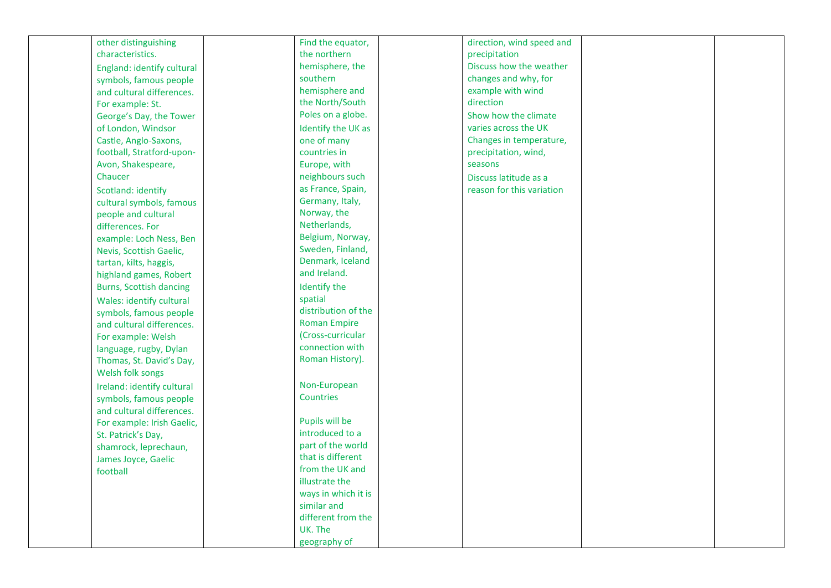| other distinguishing           | Find the equator,   | direction, wind speed and |  |
|--------------------------------|---------------------|---------------------------|--|
| characteristics.               | the northern        | precipitation             |  |
| England: identify cultural     | hemisphere, the     | Discuss how the weather   |  |
| symbols, famous people         | southern            | changes and why, for      |  |
| and cultural differences.      | hemisphere and      | example with wind         |  |
| For example: St.               | the North/South     | direction                 |  |
| George's Day, the Tower        | Poles on a globe.   | Show how the climate      |  |
| of London, Windsor             | Identify the UK as  | varies across the UK      |  |
| Castle, Anglo-Saxons,          | one of many         | Changes in temperature,   |  |
| football, Stratford-upon-      | countries in        | precipitation, wind,      |  |
| Avon, Shakespeare,             | Europe, with        | seasons                   |  |
| Chaucer                        | neighbours such     | Discuss latitude as a     |  |
| Scotland: identify             | as France, Spain,   | reason for this variation |  |
| cultural symbols, famous       | Germany, Italy,     |                           |  |
| people and cultural            | Norway, the         |                           |  |
| differences. For               | Netherlands,        |                           |  |
| example: Loch Ness, Ben        | Belgium, Norway,    |                           |  |
| Nevis, Scottish Gaelic,        | Sweden, Finland,    |                           |  |
| tartan, kilts, haggis,         | Denmark, Iceland    |                           |  |
| highland games, Robert         | and Ireland.        |                           |  |
| <b>Burns, Scottish dancing</b> | Identify the        |                           |  |
| Wales: identify cultural       | spatial             |                           |  |
| symbols, famous people         | distribution of the |                           |  |
| and cultural differences.      | <b>Roman Empire</b> |                           |  |
| For example: Welsh             | (Cross-curricular   |                           |  |
| language, rugby, Dylan         | connection with     |                           |  |
| Thomas, St. David's Day,       | Roman History).     |                           |  |
| Welsh folk songs               |                     |                           |  |
|                                | Non-European        |                           |  |
| Ireland: identify cultural     | <b>Countries</b>    |                           |  |
| symbols, famous people         |                     |                           |  |
| and cultural differences.      | Pupils will be      |                           |  |
| For example: Irish Gaelic,     | introduced to a     |                           |  |
| St. Patrick's Day,             | part of the world   |                           |  |
| shamrock, leprechaun,          | that is different   |                           |  |
| James Joyce, Gaelic            | from the UK and     |                           |  |
| football                       | illustrate the      |                           |  |
|                                | ways in which it is |                           |  |
|                                | similar and         |                           |  |
|                                | different from the  |                           |  |
|                                | UK. The             |                           |  |
|                                | geography of        |                           |  |
|                                |                     |                           |  |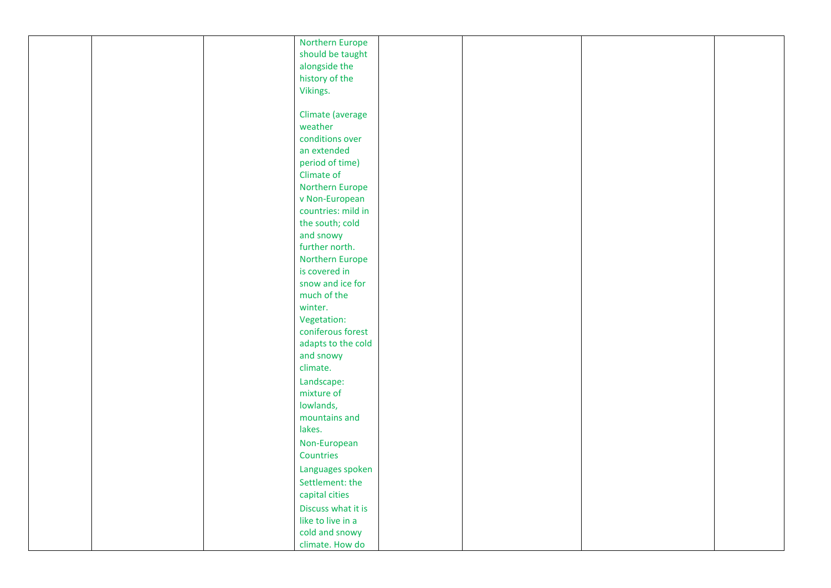|  | Northern Europe       |  |  |
|--|-----------------------|--|--|
|  | should be taught      |  |  |
|  | alongside the         |  |  |
|  | history of the        |  |  |
|  | Vikings.              |  |  |
|  |                       |  |  |
|  | Climate (average      |  |  |
|  | weather               |  |  |
|  | conditions over       |  |  |
|  | an extended           |  |  |
|  |                       |  |  |
|  | period of time)       |  |  |
|  | Climate of            |  |  |
|  | Northern Europe       |  |  |
|  | v Non-European        |  |  |
|  | countries: mild in    |  |  |
|  | the south; cold       |  |  |
|  | and snowy             |  |  |
|  | further north.        |  |  |
|  | Northern Europe       |  |  |
|  | is covered in         |  |  |
|  | snow and ice for      |  |  |
|  | much of the           |  |  |
|  | winter.               |  |  |
|  | Vegetation:           |  |  |
|  | coniferous forest     |  |  |
|  | adapts to the cold    |  |  |
|  |                       |  |  |
|  | and snowy<br>climate. |  |  |
|  |                       |  |  |
|  | Landscape:            |  |  |
|  | mixture of            |  |  |
|  | lowlands,             |  |  |
|  | mountains and         |  |  |
|  | lakes.                |  |  |
|  | Non-European          |  |  |
|  | Countries             |  |  |
|  | Languages spoken      |  |  |
|  | Settlement: the       |  |  |
|  | capital cities        |  |  |
|  | Discuss what it is    |  |  |
|  | like to live in a     |  |  |
|  | cold and snowy        |  |  |
|  |                       |  |  |
|  | climate. How do       |  |  |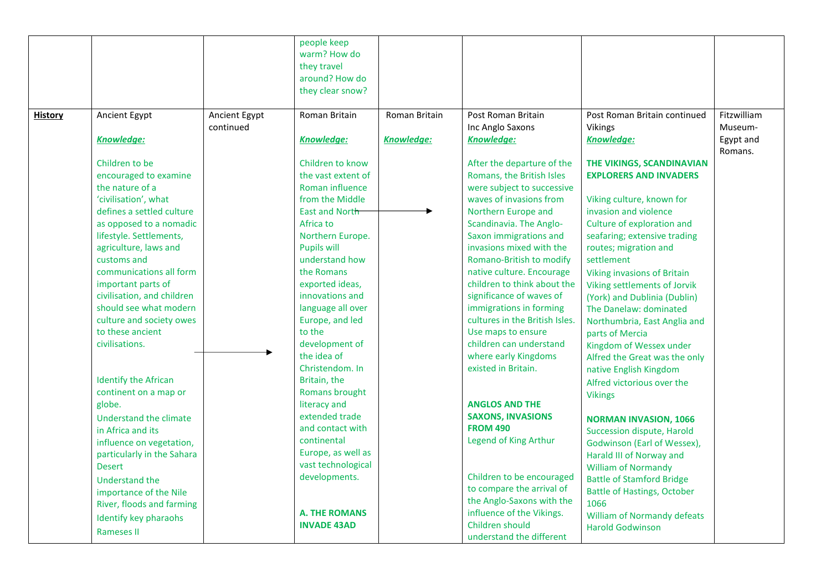|                |                             |               | people keep<br>warm? How do<br>they travel<br>around? How do<br>they clear snow? |                   |                                |                                    |             |
|----------------|-----------------------------|---------------|----------------------------------------------------------------------------------|-------------------|--------------------------------|------------------------------------|-------------|
| <b>History</b> | Ancient Egypt               | Ancient Egypt | Roman Britain                                                                    | Roman Britain     | Post Roman Britain             | Post Roman Britain continued       | Fitzwilliam |
|                |                             | continued     |                                                                                  |                   | Inc Anglo Saxons               | Vikings                            | Museum-     |
|                | <b>Knowledge:</b>           |               | <b>Knowledge:</b>                                                                | <b>Knowledge:</b> | <b>Knowledge:</b>              | <b>Knowledge:</b>                  | Egypt and   |
|                |                             |               |                                                                                  |                   |                                |                                    | Romans.     |
|                | Children to be              |               | Children to know                                                                 |                   | After the departure of the     | THE VIKINGS, SCANDINAVIAN          |             |
|                | encouraged to examine       |               | the vast extent of                                                               |                   | Romans, the British Isles      | <b>EXPLORERS AND INVADERS</b>      |             |
|                | the nature of a             |               | Roman influence                                                                  |                   | were subject to successive     |                                    |             |
|                | 'civilisation', what        |               | from the Middle                                                                  |                   | waves of invasions from        | Viking culture, known for          |             |
|                | defines a settled culture   |               | East and North                                                                   |                   | Northern Europe and            | invasion and violence              |             |
|                | as opposed to a nomadic     |               | Africa to                                                                        |                   | Scandinavia. The Anglo-        | Culture of exploration and         |             |
|                | lifestyle. Settlements,     |               | Northern Europe.                                                                 |                   | Saxon immigrations and         | seafaring; extensive trading       |             |
|                | agriculture, laws and       |               | <b>Pupils will</b>                                                               |                   | invasions mixed with the       | routes; migration and              |             |
|                | customs and                 |               | understand how                                                                   |                   | Romano-British to modify       | settlement                         |             |
|                | communications all form     |               | the Romans                                                                       |                   | native culture. Encourage      | <b>Viking invasions of Britain</b> |             |
|                | important parts of          |               | exported ideas,                                                                  |                   | children to think about the    | Viking settlements of Jorvik       |             |
|                | civilisation, and children  |               | innovations and                                                                  |                   | significance of waves of       | (York) and Dublinia (Dublin)       |             |
|                | should see what modern      |               | language all over                                                                |                   | immigrations in forming        | The Danelaw: dominated             |             |
|                | culture and society owes    |               | Europe, and led                                                                  |                   | cultures in the British Isles. | Northumbria, East Anglia and       |             |
|                | to these ancient            |               | to the                                                                           |                   | Use maps to ensure             | parts of Mercia                    |             |
|                | civilisations.              |               | development of                                                                   |                   | children can understand        | Kingdom of Wessex under            |             |
|                |                             |               | the idea of                                                                      |                   | where early Kingdoms           | Alfred the Great was the only      |             |
|                |                             |               | Christendom. In                                                                  |                   | existed in Britain.            | native English Kingdom             |             |
|                | <b>Identify the African</b> |               | Britain, the                                                                     |                   |                                | Alfred victorious over the         |             |
|                | continent on a map or       |               | Romans brought                                                                   |                   |                                | <b>Vikings</b>                     |             |
|                | globe.                      |               | literacy and                                                                     |                   | <b>ANGLOS AND THE</b>          |                                    |             |
|                | Understand the climate      |               | extended trade                                                                   |                   | <b>SAXONS, INVASIONS</b>       | <b>NORMAN INVASION, 1066</b>       |             |
|                | in Africa and its           |               | and contact with                                                                 |                   | <b>FROM 490</b>                | Succession dispute, Harold         |             |
|                | influence on vegetation,    |               | continental                                                                      |                   | Legend of King Arthur          | Godwinson (Earl of Wessex),        |             |
|                | particularly in the Sahara  |               | Europe, as well as                                                               |                   |                                | Harald III of Norway and           |             |
|                | <b>Desert</b>               |               | vast technological                                                               |                   |                                | <b>William of Normandy</b>         |             |
|                | Understand the              |               | developments.                                                                    |                   | Children to be encouraged      | <b>Battle of Stamford Bridge</b>   |             |
|                | importance of the Nile      |               |                                                                                  |                   | to compare the arrival of      | <b>Battle of Hastings, October</b> |             |
|                | River, floods and farming   |               |                                                                                  |                   | the Anglo-Saxons with the      | 1066                               |             |
|                | Identify key pharaohs       |               | <b>A. THE ROMANS</b>                                                             |                   | influence of the Vikings.      | <b>William of Normandy defeats</b> |             |
|                | <b>Rameses II</b>           |               | <b>INVADE 43AD</b>                                                               |                   | Children should                | <b>Harold Godwinson</b>            |             |
|                |                             |               |                                                                                  |                   | understand the different       |                                    |             |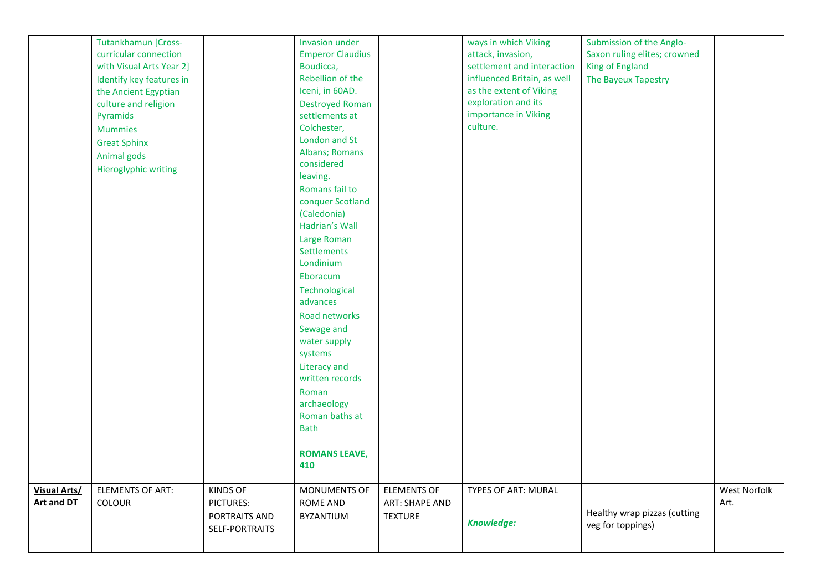|                     | Tutankhamun [Cross-      |                 | <b>Invasion under</b>   |                    | ways in which Viking        | Submission of the Anglo-     |              |
|---------------------|--------------------------|-----------------|-------------------------|--------------------|-----------------------------|------------------------------|--------------|
|                     | curricular connection    |                 | <b>Emperor Claudius</b> |                    | attack, invasion,           | Saxon ruling elites; crowned |              |
|                     | with Visual Arts Year 2] |                 | Boudicca,               |                    | settlement and interaction  | King of England              |              |
|                     | Identify key features in |                 | Rebellion of the        |                    | influenced Britain, as well | The Bayeux Tapestry          |              |
|                     | the Ancient Egyptian     |                 | Iceni, in 60AD.         |                    | as the extent of Viking     |                              |              |
|                     | culture and religion     |                 | <b>Destroyed Roman</b>  |                    | exploration and its         |                              |              |
|                     | Pyramids                 |                 | settlements at          |                    | importance in Viking        |                              |              |
|                     | <b>Mummies</b>           |                 | Colchester,             |                    | culture.                    |                              |              |
|                     | <b>Great Sphinx</b>      |                 | London and St           |                    |                             |                              |              |
|                     | Animal gods              |                 | Albans; Romans          |                    |                             |                              |              |
|                     | Hieroglyphic writing     |                 | considered              |                    |                             |                              |              |
|                     |                          |                 | leaving.                |                    |                             |                              |              |
|                     |                          |                 | Romans fail to          |                    |                             |                              |              |
|                     |                          |                 | conquer Scotland        |                    |                             |                              |              |
|                     |                          |                 | (Caledonia)             |                    |                             |                              |              |
|                     |                          |                 | Hadrian's Wall          |                    |                             |                              |              |
|                     |                          |                 | Large Roman             |                    |                             |                              |              |
|                     |                          |                 | Settlements             |                    |                             |                              |              |
|                     |                          |                 | Londinium               |                    |                             |                              |              |
|                     |                          |                 | Eboracum                |                    |                             |                              |              |
|                     |                          |                 | Technological           |                    |                             |                              |              |
|                     |                          |                 | advances                |                    |                             |                              |              |
|                     |                          |                 | Road networks           |                    |                             |                              |              |
|                     |                          |                 | Sewage and              |                    |                             |                              |              |
|                     |                          |                 | water supply            |                    |                             |                              |              |
|                     |                          |                 | systems                 |                    |                             |                              |              |
|                     |                          |                 | Literacy and            |                    |                             |                              |              |
|                     |                          |                 | written records         |                    |                             |                              |              |
|                     |                          |                 | Roman                   |                    |                             |                              |              |
|                     |                          |                 | archaeology             |                    |                             |                              |              |
|                     |                          |                 | Roman baths at          |                    |                             |                              |              |
|                     |                          |                 | <b>Bath</b>             |                    |                             |                              |              |
|                     |                          |                 |                         |                    |                             |                              |              |
|                     |                          |                 | <b>ROMANS LEAVE,</b>    |                    |                             |                              |              |
|                     |                          |                 | 410                     |                    |                             |                              |              |
|                     |                          |                 |                         |                    |                             |                              |              |
| <b>Visual Arts/</b> | <b>ELEMENTS OF ART:</b>  | <b>KINDS OF</b> | <b>MONUMENTS OF</b>     | <b>ELEMENTS OF</b> | TYPES OF ART: MURAL         |                              | West Norfolk |
| <b>Art and DT</b>   | COLOUR                   | PICTURES:       | ROME AND                | ART: SHAPE AND     |                             |                              | Art.         |
|                     |                          | PORTRAITS AND   | <b>BYZANTIUM</b>        | <b>TEXTURE</b>     |                             | Healthy wrap pizzas (cutting |              |
|                     |                          |                 |                         |                    | <b>Knowledge:</b>           | veg for toppings)            |              |
|                     |                          | SELF-PORTRAITS  |                         |                    |                             |                              |              |
|                     |                          |                 |                         |                    |                             |                              |              |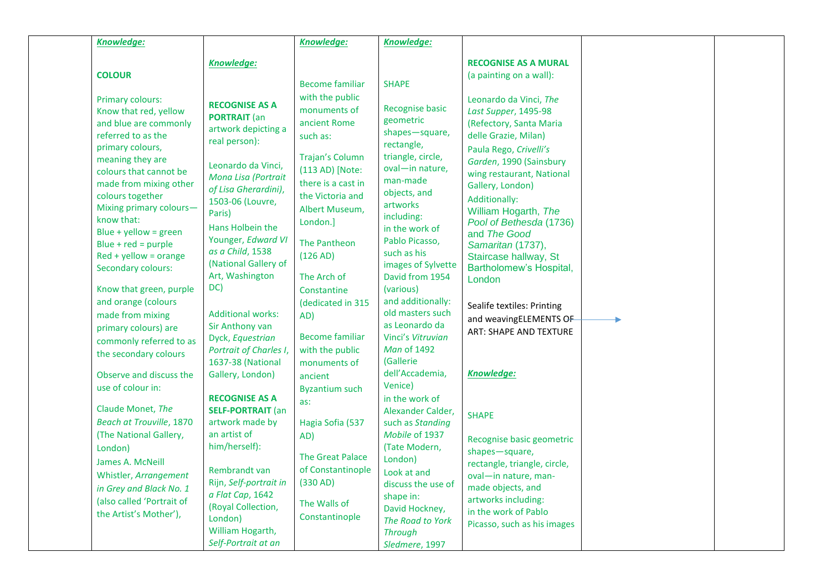| <b>Knowledge:</b>                                                                                                                                                                                                                                                                                                                                                                                                                                  |                                                                                                                                                                                                                                                                                                                                                        | <b>Knowledge:</b>                                                                                                                                                                                                                                                                         | <b>Knowledge:</b>                                                                                                                                                                                                                                                                                                                              |                                                                                                                                                                                                                                                                                                                                                                                                                                                                  |  |
|----------------------------------------------------------------------------------------------------------------------------------------------------------------------------------------------------------------------------------------------------------------------------------------------------------------------------------------------------------------------------------------------------------------------------------------------------|--------------------------------------------------------------------------------------------------------------------------------------------------------------------------------------------------------------------------------------------------------------------------------------------------------------------------------------------------------|-------------------------------------------------------------------------------------------------------------------------------------------------------------------------------------------------------------------------------------------------------------------------------------------|------------------------------------------------------------------------------------------------------------------------------------------------------------------------------------------------------------------------------------------------------------------------------------------------------------------------------------------------|------------------------------------------------------------------------------------------------------------------------------------------------------------------------------------------------------------------------------------------------------------------------------------------------------------------------------------------------------------------------------------------------------------------------------------------------------------------|--|
| <b>COLOUR</b>                                                                                                                                                                                                                                                                                                                                                                                                                                      | <b>Knowledge:</b>                                                                                                                                                                                                                                                                                                                                      |                                                                                                                                                                                                                                                                                           |                                                                                                                                                                                                                                                                                                                                                | <b>RECOGNISE AS A MURAL</b><br>(a painting on a wall):                                                                                                                                                                                                                                                                                                                                                                                                           |  |
| Primary colours:<br>Know that red, yellow<br>and blue are commonly<br>referred to as the<br>primary colours,<br>meaning they are<br>colours that cannot be<br>made from mixing other<br>colours together<br>Mixing primary colours-<br>know that:<br>Blue + yellow = green<br>Blue + $red = purple$<br>$Red + yellow = orange$<br>Secondary colours:<br>Know that green, purple<br>and orange (colours<br>made from mixing<br>primary colours) are | <b>RECOGNISE AS A</b><br><b>PORTRAIT</b> (an<br>artwork depicting a<br>real person):<br>Leonardo da Vinci,<br>Mona Lisa (Portrait<br>of Lisa Gherardini),<br>1503-06 (Louvre,<br>Paris)<br>Hans Holbein the<br>Younger, Edward VI<br>as a Child, 1538<br>(National Gallery of<br>Art, Washington<br>DC)<br><b>Additional works:</b><br>Sir Anthony van | Become familiar<br>with the public<br>monuments of<br>ancient Rome<br>such as:<br><b>Trajan's Column</b><br>(113 AD) [Note:<br>there is a cast in<br>the Victoria and<br>Albert Museum,<br>London.]<br>The Pantheon<br>(126 AD)<br>The Arch of<br>Constantine<br>(dedicated in 315<br>AD) | <b>SHAPE</b><br>Recognise basic<br>geometric<br>shapes-square,<br>rectangle,<br>triangle, circle,<br>oval-in nature,<br>man-made<br>objects, and<br>artworks<br>including:<br>in the work of<br>Pablo Picasso,<br>such as his<br>images of Sylvette<br>David from 1954<br>(various)<br>and additionally:<br>old masters such<br>as Leonardo da | Leonardo da Vinci, The<br>Last Supper, 1495-98<br>(Refectory, Santa Maria<br>delle Grazie, Milan)<br>Paula Rego, Crivelli's<br>Garden, 1990 (Sainsbury<br>wing restaurant, National<br>Gallery, London)<br>Additionally:<br>William Hogarth, The<br>Pool of Bethesda (1736)<br>and The Good<br>Samaritan (1737),<br>Staircase hallway, St<br>Bartholomew's Hospital,<br>London<br>Sealife textiles: Printing<br>and weavingELEMENTS OF<br>ART: SHAPE AND TEXTURE |  |
| commonly referred to as<br>the secondary colours<br>Observe and discuss the<br>use of colour in:<br>Claude Monet, The<br><b>Beach at Trouville, 1870</b><br>(The National Gallery,<br>London)<br>James A. McNeill<br>Whistler, Arrangement<br>in Grey and Black No. 1<br>(also called 'Portrait of<br>the Artist's Mother'),                                                                                                                       | Dyck, Equestrian<br>Portrait of Charles I,<br>1637-38 (National<br>Gallery, London)<br><b>RECOGNISE AS A</b><br><b>SELF-PORTRAIT (an</b><br>artwork made by<br>an artist of<br>him/herself):<br>Rembrandt van<br>Rijn, Self-portrait in<br>a Flat Cap, 1642<br>(Royal Collection,<br>London)<br>William Hogarth,<br>Self-Portrait at an                | <b>Become familiar</b><br>with the public<br>monuments of<br>ancient<br><b>Byzantium such</b><br>as:<br>Hagia Sofia (537<br>AD)<br><b>The Great Palace</b><br>of Constantinople<br>(330 AD)<br>The Walls of<br>Constantinople                                                             | Vinci's Vitruvian<br><b>Man of 1492</b><br>(Gallerie<br>dell'Accademia,<br>Venice)<br>in the work of<br>Alexander Calder,<br>such as Standing<br>Mobile of 1937<br>(Tate Modern,<br>London)<br>Look at and<br>discuss the use of<br>shape in:<br>David Hockney,<br>The Road to York<br><b>Through</b><br>Sledmere, 1997                        | <b>Knowledge:</b><br><b>SHAPE</b><br>Recognise basic geometric<br>shapes-square,<br>rectangle, triangle, circle,<br>oval-in nature, man-<br>made objects, and<br>artworks including:<br>in the work of Pablo<br>Picasso, such as his images                                                                                                                                                                                                                      |  |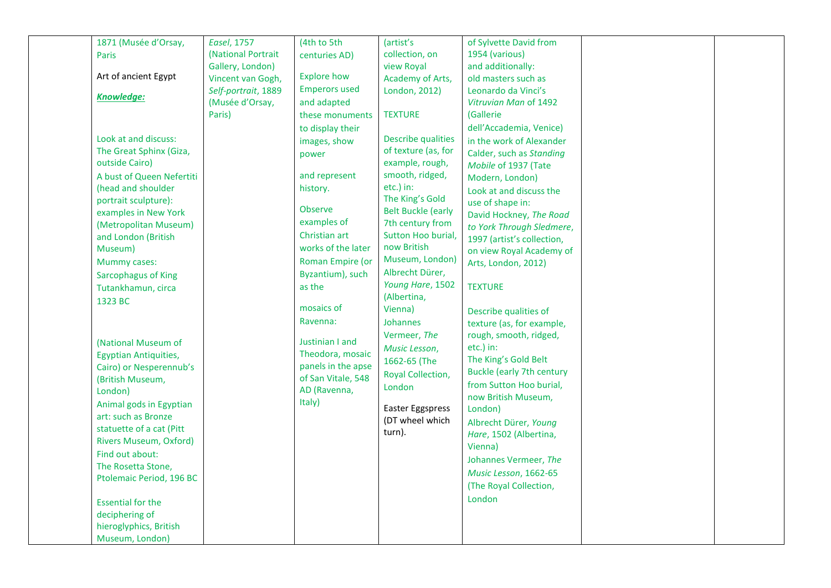| 1871 (Musée d'Orsay,          | <b>Easel, 1757</b>  | (4th to 5th          | (artist's                 | of Sylvette David from           |  |
|-------------------------------|---------------------|----------------------|---------------------------|----------------------------------|--|
|                               | (National Portrait  |                      | collection, on            | 1954 (various)                   |  |
| Paris                         | Gallery, London)    | centuries AD)        | view Royal                | and additionally:                |  |
| Art of ancient Egypt          | Vincent van Gogh,   | <b>Explore how</b>   | Academy of Arts,          | old masters such as              |  |
|                               |                     | <b>Emperors used</b> |                           |                                  |  |
| Knowledge:                    | Self-portrait, 1889 |                      | London, 2012)             | Leonardo da Vinci's              |  |
|                               | (Musée d'Orsay,     | and adapted          |                           | Vitruvian Man of 1492            |  |
|                               | Paris)              | these monuments      | <b>TEXTURE</b>            | (Gallerie                        |  |
|                               |                     | to display their     |                           | dell'Accademia, Venice)          |  |
| Look at and discuss:          |                     | images, show         | <b>Describe qualities</b> | in the work of Alexander         |  |
| The Great Sphinx (Giza,       |                     | power                | of texture (as, for       | Calder, such as Standing         |  |
| outside Cairo)                |                     |                      | example, rough,           | Mobile of 1937 (Tate             |  |
| A bust of Queen Nefertiti     |                     | and represent        | smooth, ridged,           | Modern, London)                  |  |
| (head and shoulder            |                     | history.             | etc.) in:                 | Look at and discuss the          |  |
| portrait sculpture):          |                     |                      | The King's Gold           | use of shape in:                 |  |
| examples in New York          |                     | <b>Observe</b>       | <b>Belt Buckle (early</b> | David Hockney, The Road          |  |
| (Metropolitan Museum)         |                     | examples of          | 7th century from          | to York Through Sledmere,        |  |
| and London (British           |                     | Christian art        | Sutton Hoo burial,        | 1997 (artist's collection,       |  |
| Museum)                       |                     | works of the later   | now British               | on view Royal Academy of         |  |
| Mummy cases:                  |                     | Roman Empire (or     | Museum, London)           | Arts, London, 2012)              |  |
| Sarcophagus of King           |                     | Byzantium), such     | Albrecht Dürer,           |                                  |  |
| Tutankhamun, circa            |                     | as the               | Young Hare, 1502          | <b>TEXTURE</b>                   |  |
| 1323 BC                       |                     |                      | (Albertina,               |                                  |  |
|                               |                     | mosaics of           | Vienna)                   | Describe qualities of            |  |
|                               |                     | Ravenna:             | <b>Johannes</b>           | texture (as, for example,        |  |
|                               |                     |                      | Vermeer, The              | rough, smooth, ridged,           |  |
| (National Museum of           |                     | Justinian I and      | Music Lesson,             | etc.) in:                        |  |
| <b>Egyptian Antiquities,</b>  |                     | Theodora, mosaic     | 1662-65 (The              | The King's Gold Belt             |  |
| Cairo) or Nesperennub's       |                     | panels in the apse   |                           | <b>Buckle (early 7th century</b> |  |
| (British Museum,              |                     | of San Vitale, 548   | Royal Collection,         | from Sutton Hoo burial,          |  |
| London)                       |                     | AD (Ravenna,         | London                    | now British Museum,              |  |
| Animal gods in Egyptian       |                     | Italy)               | <b>Easter Eggspress</b>   | London)                          |  |
| art: such as Bronze           |                     |                      | (DT wheel which           |                                  |  |
| statuette of a cat (Pitt      |                     |                      | turn).                    | Albrecht Dürer, Young            |  |
| <b>Rivers Museum, Oxford)</b> |                     |                      |                           | Hare, 1502 (Albertina,           |  |
| Find out about:               |                     |                      |                           | Vienna)                          |  |
| The Rosetta Stone,            |                     |                      |                           | Johannes Vermeer, The            |  |
| Ptolemaic Period, 196 BC      |                     |                      |                           | Music Lesson, 1662-65            |  |
|                               |                     |                      |                           | (The Royal Collection,           |  |
| <b>Essential for the</b>      |                     |                      |                           | London                           |  |
| deciphering of                |                     |                      |                           |                                  |  |
| hieroglyphics, British        |                     |                      |                           |                                  |  |
| Museum, London)               |                     |                      |                           |                                  |  |
|                               |                     |                      |                           |                                  |  |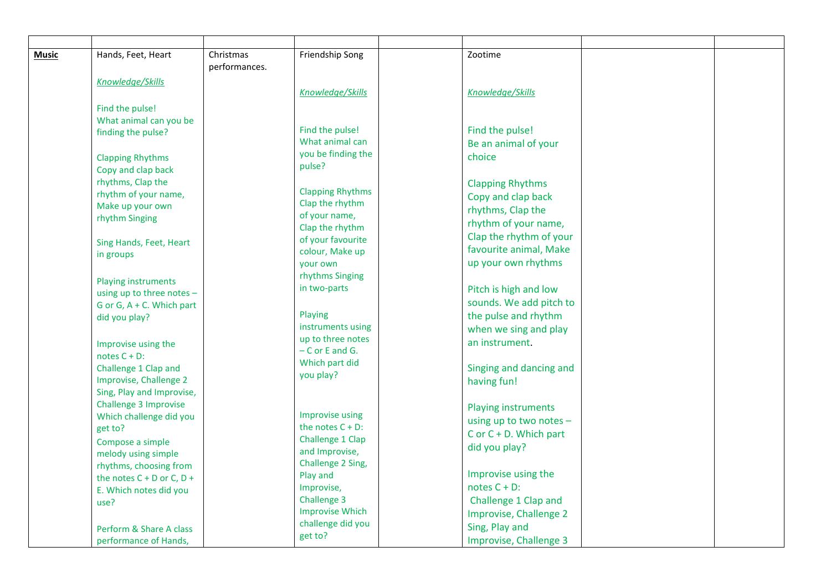| <b>Music</b> | Hands, Feet, Heart                      | Christmas     | Friendship Song                      | Zootime                                |  |
|--------------|-----------------------------------------|---------------|--------------------------------------|----------------------------------------|--|
|              |                                         | performances. |                                      |                                        |  |
|              | Knowledge/Skills                        |               |                                      |                                        |  |
|              |                                         |               | Knowledge/Skills                     | Knowledge/Skills                       |  |
|              | Find the pulse!                         |               |                                      |                                        |  |
|              | What animal can you be                  |               |                                      |                                        |  |
|              | finding the pulse?                      |               | Find the pulse!                      | Find the pulse!                        |  |
|              |                                         |               | What animal can                      | Be an animal of your                   |  |
|              | <b>Clapping Rhythms</b>                 |               | you be finding the                   | choice                                 |  |
|              | Copy and clap back                      |               | pulse?                               |                                        |  |
|              | rhythms, Clap the                       |               |                                      | <b>Clapping Rhythms</b>                |  |
|              | rhythm of your name,                    |               | <b>Clapping Rhythms</b>              | Copy and clap back                     |  |
|              | Make up your own                        |               | Clap the rhythm                      | rhythms, Clap the                      |  |
|              | rhythm Singing                          |               | of your name,                        | rhythm of your name,                   |  |
|              |                                         |               | Clap the rhythm<br>of your favourite | Clap the rhythm of your                |  |
|              | Sing Hands, Feet, Heart                 |               | colour, Make up                      | favourite animal, Make                 |  |
|              | in groups                               |               | your own                             | up your own rhythms                    |  |
|              |                                         |               | rhythms Singing                      |                                        |  |
|              | Playing instruments                     |               | in two-parts                         | Pitch is high and low                  |  |
|              | using up to three notes -               |               |                                      | sounds. We add pitch to                |  |
|              | G or G, $A + C$ . Which part            |               | Playing                              | the pulse and rhythm                   |  |
|              | did you play?                           |               | instruments using                    | when we sing and play                  |  |
|              |                                         |               | up to three notes                    | an instrument.                         |  |
|              | Improvise using the                     |               | $-$ C or E and G.                    |                                        |  |
|              | notes $C + D$ :<br>Challenge 1 Clap and |               | Which part did                       |                                        |  |
|              | Improvise, Challenge 2                  |               | you play?                            | Singing and dancing and<br>having fun! |  |
|              | Sing, Play and Improvise,               |               |                                      |                                        |  |
|              | <b>Challenge 3 Improvise</b>            |               |                                      |                                        |  |
|              | Which challenge did you                 |               | Improvise using                      | <b>Playing instruments</b>             |  |
|              | get to?                                 |               | the notes $C + D$ :                  | using up to two notes $-$              |  |
|              | Compose a simple                        |               | Challenge 1 Clap                     | $C$ or $C + D$ . Which part            |  |
|              | melody using simple                     |               | and Improvise,                       | did you play?                          |  |
|              | rhythms, choosing from                  |               | Challenge 2 Sing,                    |                                        |  |
|              | the notes $C + D$ or $C, D +$           |               | Play and                             | Improvise using the                    |  |
|              | E. Which notes did you                  |               | Improvise,                           | notes $C + D$ :                        |  |
|              | use?                                    |               | Challenge 3                          | Challenge 1 Clap and                   |  |
|              |                                         |               | <b>Improvise Which</b>               | Improvise, Challenge 2                 |  |
|              | Perform & Share A class                 |               | challenge did you                    | Sing, Play and                         |  |
|              | performance of Hands,                   |               | get to?                              | Improvise, Challenge 3                 |  |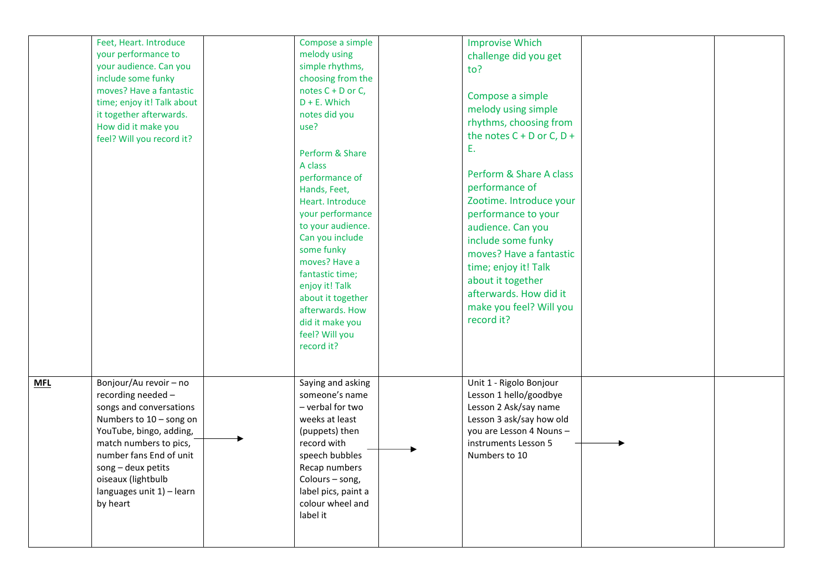|            | Feet, Heart. Introduce<br>your performance to<br>your audience. Can you<br>include some funky<br>moves? Have a fantastic<br>time; enjoy it! Talk about<br>it together afterwards.<br>How did it make you<br>feel? Will you record it?                                   | Compose a simple<br>melody using<br>simple rhythms,<br>choosing from the<br>notes $C + D$ or $C$ ,<br>$D + E$ . Which<br>notes did you<br>use?<br>Perform & Share<br>A class<br>performance of<br>Hands, Feet,<br>Heart. Introduce<br>your performance<br>to your audience.<br>Can you include<br>some funky<br>moves? Have a<br>fantastic time;<br>enjoy it! Talk<br>about it together<br>afterwards. How<br>did it make you<br>feel? Will you<br>record it? | <b>Improvise Which</b><br>challenge did you get<br>to?<br>Compose a simple<br>melody using simple<br>rhythms, choosing from<br>the notes $C + D$ or $C, D +$<br>Ε.<br>Perform & Share A class<br>performance of<br>Zootime. Introduce your<br>performance to your<br>audience. Can you<br>include some funky<br>moves? Have a fantastic<br>time; enjoy it! Talk<br>about it together<br>afterwards. How did it<br>make you feel? Will you<br>record it? |  |
|------------|-------------------------------------------------------------------------------------------------------------------------------------------------------------------------------------------------------------------------------------------------------------------------|---------------------------------------------------------------------------------------------------------------------------------------------------------------------------------------------------------------------------------------------------------------------------------------------------------------------------------------------------------------------------------------------------------------------------------------------------------------|---------------------------------------------------------------------------------------------------------------------------------------------------------------------------------------------------------------------------------------------------------------------------------------------------------------------------------------------------------------------------------------------------------------------------------------------------------|--|
| <b>MFL</b> | Bonjour/Au revoir - no<br>recording needed -<br>songs and conversations<br>Numbers to 10 - song on<br>YouTube, bingo, adding,<br>match numbers to pics,<br>number fans End of unit<br>song - deux petits<br>oiseaux (lightbulb<br>languages unit 1) - learn<br>by heart | Saying and asking<br>someone's name<br>- verbal for two<br>weeks at least<br>(puppets) then<br>record with<br>speech bubbles<br>Recap numbers<br>Colours - song,<br>label pics, paint a<br>colour wheel and<br>label it                                                                                                                                                                                                                                       | Unit 1 - Rigolo Bonjour<br>Lesson 1 hello/goodbye<br>Lesson 2 Ask/say name<br>Lesson 3 ask/say how old<br>you are Lesson 4 Nouns -<br>instruments Lesson 5<br>Numbers to 10                                                                                                                                                                                                                                                                             |  |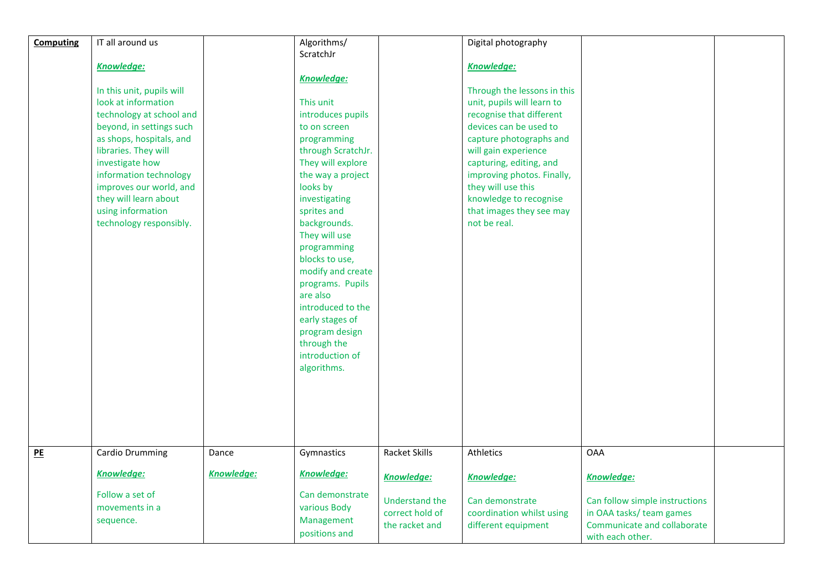| <b>Computing</b> | IT all around us          |                   | Algorithms/                    |                                   | Digital photography                          |                                                            |  |
|------------------|---------------------------|-------------------|--------------------------------|-----------------------------------|----------------------------------------------|------------------------------------------------------------|--|
|                  |                           |                   | ScratchJr                      |                                   |                                              |                                                            |  |
|                  | Knowledge:                |                   |                                |                                   | Knowledge:                                   |                                                            |  |
|                  |                           |                   | <b>Knowledge:</b>              |                                   |                                              |                                                            |  |
|                  | In this unit, pupils will |                   |                                |                                   | Through the lessons in this                  |                                                            |  |
|                  | look at information       |                   | This unit                      |                                   | unit, pupils will learn to                   |                                                            |  |
|                  | technology at school and  |                   | introduces pupils              |                                   | recognise that different                     |                                                            |  |
|                  | beyond, in settings such  |                   | to on screen                   |                                   | devices can be used to                       |                                                            |  |
|                  | as shops, hospitals, and  |                   | programming                    |                                   | capture photographs and                      |                                                            |  |
|                  | libraries. They will      |                   | through ScratchJr.             |                                   | will gain experience                         |                                                            |  |
|                  | investigate how           |                   | They will explore              |                                   | capturing, editing, and                      |                                                            |  |
|                  | information technology    |                   | the way a project              |                                   | improving photos. Finally,                   |                                                            |  |
|                  | improves our world, and   |                   | looks by                       |                                   | they will use this                           |                                                            |  |
|                  | they will learn about     |                   | investigating                  |                                   | knowledge to recognise                       |                                                            |  |
|                  | using information         |                   | sprites and                    |                                   | that images they see may                     |                                                            |  |
|                  | technology responsibly.   |                   | backgrounds.                   |                                   | not be real.                                 |                                                            |  |
|                  |                           |                   | They will use                  |                                   |                                              |                                                            |  |
|                  |                           |                   | programming                    |                                   |                                              |                                                            |  |
|                  |                           |                   | blocks to use,                 |                                   |                                              |                                                            |  |
|                  |                           |                   | modify and create              |                                   |                                              |                                                            |  |
|                  |                           |                   | programs. Pupils               |                                   |                                              |                                                            |  |
|                  |                           |                   | are also                       |                                   |                                              |                                                            |  |
|                  |                           |                   | introduced to the              |                                   |                                              |                                                            |  |
|                  |                           |                   | early stages of                |                                   |                                              |                                                            |  |
|                  |                           |                   | program design                 |                                   |                                              |                                                            |  |
|                  |                           |                   | through the<br>introduction of |                                   |                                              |                                                            |  |
|                  |                           |                   | algorithms.                    |                                   |                                              |                                                            |  |
|                  |                           |                   |                                |                                   |                                              |                                                            |  |
|                  |                           |                   |                                |                                   |                                              |                                                            |  |
|                  |                           |                   |                                |                                   |                                              |                                                            |  |
|                  |                           |                   |                                |                                   |                                              |                                                            |  |
|                  |                           |                   |                                |                                   |                                              |                                                            |  |
|                  |                           |                   |                                |                                   |                                              |                                                            |  |
| PE               | Cardio Drumming           | Dance             | Gymnastics                     | <b>Racket Skills</b>              | Athletics                                    | <b>OAA</b>                                                 |  |
|                  |                           |                   |                                |                                   |                                              |                                                            |  |
|                  | <b>Knowledge:</b>         | <b>Knowledge:</b> | <b>Knowledge:</b>              | <b>Knowledge:</b>                 | <b>Knowledge:</b>                            | <b>Knowledge:</b>                                          |  |
|                  | Follow a set of           |                   | Can demonstrate                |                                   |                                              |                                                            |  |
|                  | movements in a            |                   | various Body                   | Understand the<br>correct hold of | Can demonstrate<br>coordination whilst using | Can follow simple instructions<br>in OAA tasks/ team games |  |
|                  | sequence.                 |                   | Management                     |                                   |                                              | Communicate and collaborate                                |  |
|                  |                           |                   | positions and                  | the racket and                    | different equipment                          |                                                            |  |
|                  |                           |                   |                                |                                   |                                              | with each other.                                           |  |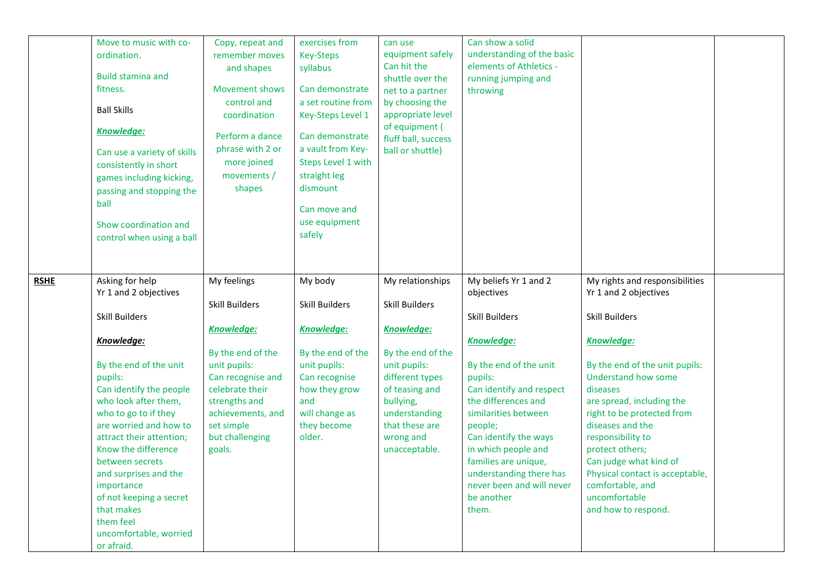|             | Move to music with co-<br>ordination.<br><b>Build stamina and</b><br>fitness.<br><b>Ball Skills</b><br><b>Knowledge:</b><br>Can use a variety of skills<br>consistently in short<br>games including kicking,<br>passing and stopping the<br>ball<br>Show coordination and<br>control when using a ball                                                                                                                               | Copy, repeat and<br>remember moves<br>and shapes<br><b>Movement shows</b><br>control and<br>coordination<br>Perform a dance<br>phrase with 2 or<br>more joined<br>movements /<br>shapes                                 | exercises from<br><b>Key-Steps</b><br>syllabus<br>Can demonstrate<br>a set routine from<br>Key-Steps Level 1<br>Can demonstrate<br>a vault from Key-<br>Steps Level 1 with<br>straight leg<br>dismount<br>Can move and<br>use equipment<br>safely | can use<br>equipment safely<br>Can hit the<br>shuttle over the<br>net to a partner<br>by choosing the<br>appropriate level<br>of equipment (<br>fluff ball, success<br>ball or shuttle)                                | Can show a solid<br>understanding of the basic<br>elements of Athletics -<br>running jumping and<br>throwing                                                                                                                                                                                                                                                 |                                                                                                                                                                                                                                                                                                                                                                                                                            |  |
|-------------|--------------------------------------------------------------------------------------------------------------------------------------------------------------------------------------------------------------------------------------------------------------------------------------------------------------------------------------------------------------------------------------------------------------------------------------|-------------------------------------------------------------------------------------------------------------------------------------------------------------------------------------------------------------------------|---------------------------------------------------------------------------------------------------------------------------------------------------------------------------------------------------------------------------------------------------|------------------------------------------------------------------------------------------------------------------------------------------------------------------------------------------------------------------------|--------------------------------------------------------------------------------------------------------------------------------------------------------------------------------------------------------------------------------------------------------------------------------------------------------------------------------------------------------------|----------------------------------------------------------------------------------------------------------------------------------------------------------------------------------------------------------------------------------------------------------------------------------------------------------------------------------------------------------------------------------------------------------------------------|--|
| <b>RSHE</b> | Asking for help<br>Yr 1 and 2 objectives<br><b>Skill Builders</b><br>Knowledge:<br>By the end of the unit<br>pupils:<br>Can identify the people<br>who look after them,<br>who to go to if they<br>are worried and how to<br>attract their attention;<br>Know the difference<br>between secrets<br>and surprises and the<br>importance<br>of not keeping a secret<br>that makes<br>them feel<br>uncomfortable, worried<br>or afraid. | My feelings<br><b>Skill Builders</b><br><b>Knowledge:</b><br>By the end of the<br>unit pupils:<br>Can recognise and<br>celebrate their<br>strengths and<br>achievements, and<br>set simple<br>but challenging<br>goals. | My body<br><b>Skill Builders</b><br><b>Knowledge:</b><br>By the end of the<br>unit pupils:<br>Can recognise<br>how they grow<br>and<br>will change as<br>they become<br>older.                                                                    | My relationships<br><b>Skill Builders</b><br><b>Knowledge:</b><br>By the end of the<br>unit pupils:<br>different types<br>of teasing and<br>bullying,<br>understanding<br>that these are<br>wrong and<br>unacceptable. | My beliefs Yr 1 and 2<br>objectives<br>Skill Builders<br><b>Knowledge:</b><br>By the end of the unit<br>pupils:<br>Can identify and respect<br>the differences and<br>similarities between<br>people;<br>Can identify the ways<br>in which people and<br>families are unique,<br>understanding there has<br>never been and will never<br>be another<br>them. | My rights and responsibilities<br>Yr 1 and 2 objectives<br><b>Skill Builders</b><br><b>Knowledge:</b><br>By the end of the unit pupils:<br>Understand how some<br>diseases<br>are spread, including the<br>right to be protected from<br>diseases and the<br>responsibility to<br>protect others;<br>Can judge what kind of<br>Physical contact is acceptable,<br>comfortable, and<br>uncomfortable<br>and how to respond. |  |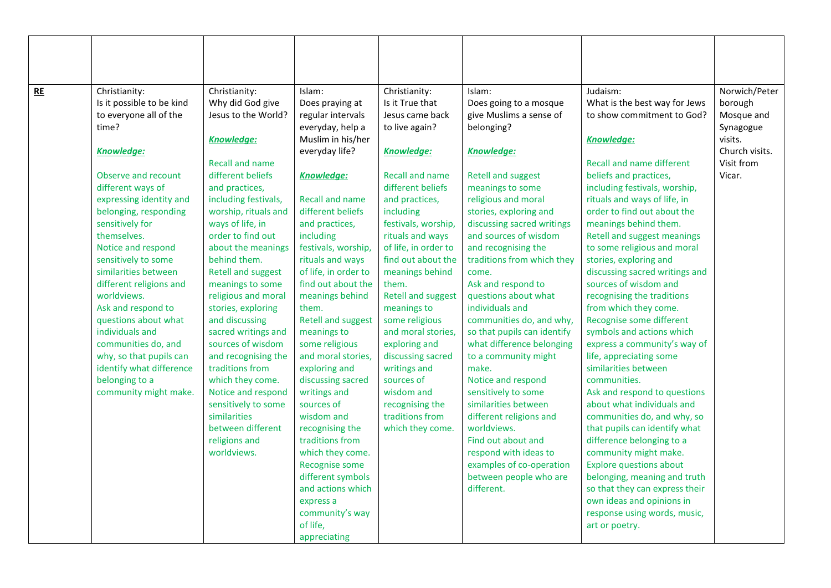| <b>RE</b> | Christianity:                            | Christianity:                            | Islam:                                      | Christianity:                           | Islam:                                               | Judaism:                                                      | Norwich/Peter             |
|-----------|------------------------------------------|------------------------------------------|---------------------------------------------|-----------------------------------------|------------------------------------------------------|---------------------------------------------------------------|---------------------------|
|           | Is it possible to be kind                | Why did God give                         | Does praying at                             | Is it True that                         | Does going to a mosque                               | What is the best way for Jews                                 | borough                   |
|           | to everyone all of the                   | Jesus to the World?                      | regular intervals                           | Jesus came back                         | give Muslims a sense of                              | to show commitment to God?                                    | Mosque and                |
|           | time?                                    |                                          | everyday, help a                            | to live again?                          | belonging?                                           |                                                               | Synagogue                 |
|           |                                          | <b>Knowledge:</b>                        | Muslim in his/her                           |                                         |                                                      | <b>Knowledge:</b>                                             | visits.<br>Church visits. |
|           | Knowledge:                               |                                          | everyday life?                              | Knowledge:                              | <b>Knowledge:</b>                                    |                                                               |                           |
|           |                                          | <b>Recall and name</b>                   |                                             |                                         |                                                      | <b>Recall and name different</b>                              | Visit from                |
|           | Observe and recount                      | different beliefs                        | <b>Knowledge:</b>                           | <b>Recall and name</b>                  | <b>Retell and suggest</b>                            | beliefs and practices,                                        | Vicar.                    |
|           | different ways of                        | and practices,                           |                                             | different beliefs                       | meanings to some<br>religious and moral              | including festivals, worship,<br>rituals and ways of life, in |                           |
|           | expressing identity and                  | including festivals,                     | <b>Recall and name</b><br>different beliefs | and practices,                          |                                                      | order to find out about the                                   |                           |
|           | belonging, responding<br>sensitively for | worship, rituals and<br>ways of life, in |                                             | including                               | stories, exploring and<br>discussing sacred writings | meanings behind them.                                         |                           |
|           | themselves.                              | order to find out                        | and practices,<br>including                 | festivals, worship,<br>rituals and ways | and sources of wisdom                                | Retell and suggest meanings                                   |                           |
|           | Notice and respond                       | about the meanings                       | festivals, worship,                         | of life, in order to                    | and recognising the                                  | to some religious and moral                                   |                           |
|           | sensitively to some                      | behind them.                             | rituals and ways                            | find out about the                      | traditions from which they                           | stories, exploring and                                        |                           |
|           | similarities between                     | <b>Retell and suggest</b>                | of life, in order to                        | meanings behind                         | come.                                                | discussing sacred writings and                                |                           |
|           | different religions and                  | meanings to some                         | find out about the                          | them.                                   | Ask and respond to                                   | sources of wisdom and                                         |                           |
|           | worldviews.                              | religious and moral                      | meanings behind                             | <b>Retell and suggest</b>               | questions about what                                 | recognising the traditions                                    |                           |
|           | Ask and respond to                       | stories, exploring                       | them.                                       | meanings to                             | individuals and                                      | from which they come.                                         |                           |
|           | questions about what                     | and discussing                           | <b>Retell and suggest</b>                   | some religious                          | communities do, and why,                             | Recognise some different                                      |                           |
|           | individuals and                          | sacred writings and                      | meanings to                                 | and moral stories,                      | so that pupils can identify                          | symbols and actions which                                     |                           |
|           | communities do, and                      | sources of wisdom                        | some religious                              | exploring and                           | what difference belonging                            | express a community's way of                                  |                           |
|           | why, so that pupils can                  | and recognising the                      | and moral stories,                          | discussing sacred                       | to a community might                                 | life, appreciating some                                       |                           |
|           | identify what difference                 | traditions from                          | exploring and                               | writings and                            | make.                                                | similarities between                                          |                           |
|           | belonging to a                           | which they come.                         | discussing sacred                           | sources of                              | Notice and respond                                   | communities.                                                  |                           |
|           | community might make.                    | Notice and respond                       | writings and                                | wisdom and                              | sensitively to some                                  | Ask and respond to questions                                  |                           |
|           |                                          | sensitively to some                      | sources of                                  | recognising the                         | similarities between                                 | about what individuals and                                    |                           |
|           |                                          | similarities                             | wisdom and                                  | traditions from                         | different religions and                              | communities do, and why, so                                   |                           |
|           |                                          | between different                        | recognising the                             | which they come.                        | worldviews.                                          | that pupils can identify what                                 |                           |
|           |                                          | religions and                            | traditions from                             |                                         | Find out about and                                   | difference belonging to a                                     |                           |
|           |                                          | worldviews.                              | which they come.                            |                                         | respond with ideas to                                | community might make.                                         |                           |
|           |                                          |                                          | Recognise some                              |                                         | examples of co-operation                             | <b>Explore questions about</b>                                |                           |
|           |                                          |                                          | different symbols                           |                                         | between people who are                               | belonging, meaning and truth                                  |                           |
|           |                                          |                                          | and actions which                           |                                         | different.                                           | so that they can express their                                |                           |
|           |                                          |                                          | express a                                   |                                         |                                                      | own ideas and opinions in                                     |                           |
|           |                                          |                                          | community's way                             |                                         |                                                      | response using words, music,                                  |                           |
|           |                                          |                                          | of life,                                    |                                         |                                                      | art or poetry.                                                |                           |
|           |                                          |                                          | appreciating                                |                                         |                                                      |                                                               |                           |